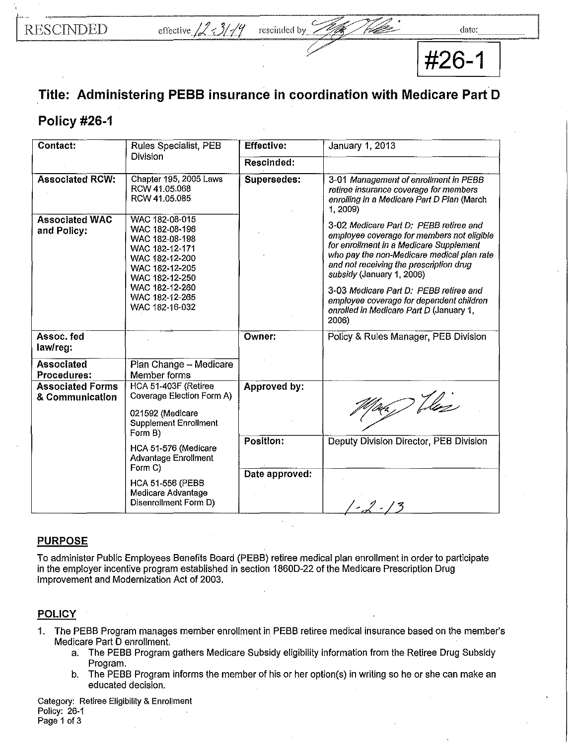**#26-1** 

## **Title: Administering PEBB insurance in coordination with Medicare Part D**

## **Policy #26-1**

| Contact:                                                                                                                                                                                                              | <b>Rules Specialist, PEB</b>                                                                                                                                   | <b>Effective:</b> | <b>January 1, 2013</b>                                                                                                                                                                                                                                                                          |
|-----------------------------------------------------------------------------------------------------------------------------------------------------------------------------------------------------------------------|----------------------------------------------------------------------------------------------------------------------------------------------------------------|-------------------|-------------------------------------------------------------------------------------------------------------------------------------------------------------------------------------------------------------------------------------------------------------------------------------------------|
|                                                                                                                                                                                                                       | <b>Division</b>                                                                                                                                                | Rescinded:        |                                                                                                                                                                                                                                                                                                 |
| <b>Associated RCW:</b>                                                                                                                                                                                                | Chapter 195, 2005 Laws<br>RCW 41.05.068<br>RCW 41.05.085                                                                                                       | Supersedes:       | 3-01 Management of enrollment in PEBB<br>retiree insurance coverage for members<br>enrolling in a Medicare Part D Plan (March<br>1, 2009)                                                                                                                                                       |
| <b>Associated WAC</b><br>and Policy:                                                                                                                                                                                  | WAC 182-08-015<br>WAC 182-08-196<br>WAC 182-08-198<br>WAC 182-12-171<br>WAC 182-12-200<br>WAC 182-12-205<br>WAC 182-12-250<br>WAC 182-12-260<br>WAC 182-12-265 |                   | 3-02 Medicare Part D: PEBB retiree and<br>employee coverage for members not eligible<br>for enrollment in a Medicare Supplement<br>who pay the non-Medicare medical plan rate<br>and not receiving the prescription drug<br>subsidy (January 1, 2006)<br>3-03 Medicare Part D: PEBB retiree and |
|                                                                                                                                                                                                                       | WAC 182-16-032                                                                                                                                                 |                   | employee coverage for dependent children<br>enrolled in Medicare Part D (January 1,<br>2006)                                                                                                                                                                                                    |
| Assoc. fed<br>law/reg:                                                                                                                                                                                                |                                                                                                                                                                | Owner:            | Policy & Rules Manager, PEB Division                                                                                                                                                                                                                                                            |
| <b>Associated</b><br><b>Procedures:</b>                                                                                                                                                                               | Plan Change - Medicare<br>Member forms                                                                                                                         |                   |                                                                                                                                                                                                                                                                                                 |
| HCA 51-403F (Retiree<br><b>Associated Forms</b><br>Coverage Election Form A)<br>& Communication<br>021592 (Medicare<br><b>Supplement Enrollment</b><br>Form B)<br>HCA 51-576 (Medicare<br><b>Advantage Enrollment</b> | Approved by:                                                                                                                                                   | May His           |                                                                                                                                                                                                                                                                                                 |
|                                                                                                                                                                                                                       | Form C)                                                                                                                                                        | Position:         | Deputy Division Director, PEB Division                                                                                                                                                                                                                                                          |
|                                                                                                                                                                                                                       | <b>HCA 51-556 (PEBB)</b><br>Medicare Advantage<br>Disenrollment Form D)                                                                                        | Date approved:    | $\frac{1}{2}$ $\frac{1}{3}$                                                                                                                                                                                                                                                                     |

## **PURPOSE**

To administer Public Employees Benefits Board (PEBB) retiree medical plan enrollment in order to participate in the employer incentive program established in section 1860D-22 of the Medicare Prescription Drug Improvement and Modernization Act of 2003.

## **POLICY**

- 1. The PEBB Program manages member enrollment in PEBB retiree medical insurance based on the member's Medicare Part D enrollment.
	- a. The PEBB Program gathers Medicare Subsidy eligibility information from the Retiree Drug Subsidy Program.
	- b. The PEBB Program informs the member of his or her option(s) in writing so he or she can make an educated decision.

Category: Retiree Eligibility & Enrollment Policy: 26-1 Page 1 of 3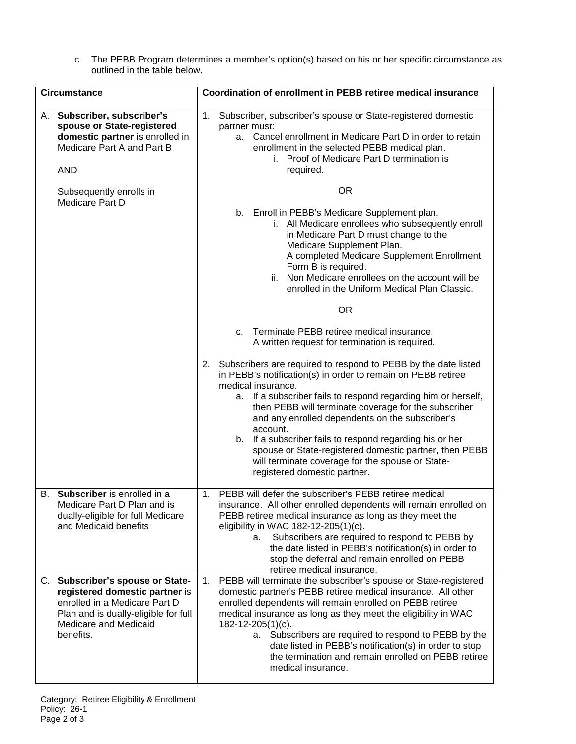c. The PEBB Program determines a member's option(s) based on his or her specific circumstance as outlined in the table below.

| <b>Circumstance</b>                        |                                                                                                                                                                                   |                                                                                                                                                                                                                                                                                                                                                                                                                                                                                            | Coordination of enrollment in PEBB retiree medical insurance                                                                                                                                                                                                                                                                                                                                                                                                                                                                                              |  |
|--------------------------------------------|-----------------------------------------------------------------------------------------------------------------------------------------------------------------------------------|--------------------------------------------------------------------------------------------------------------------------------------------------------------------------------------------------------------------------------------------------------------------------------------------------------------------------------------------------------------------------------------------------------------------------------------------------------------------------------------------|-----------------------------------------------------------------------------------------------------------------------------------------------------------------------------------------------------------------------------------------------------------------------------------------------------------------------------------------------------------------------------------------------------------------------------------------------------------------------------------------------------------------------------------------------------------|--|
| А.                                         | Subscriber, subscriber's<br>spouse or State-registered<br>domestic partner is enrolled in<br>Medicare Part A and Part B<br><b>AND</b>                                             |                                                                                                                                                                                                                                                                                                                                                                                                                                                                                            | Subscriber, subscriber's spouse or State-registered domestic<br>partner must:<br>Cancel enrollment in Medicare Part D in order to retain<br>a.<br>enrollment in the selected PEBB medical plan.<br>i. Proof of Medicare Part D termination is<br>required.                                                                                                                                                                                                                                                                                                |  |
| Subsequently enrolls in<br>Medicare Part D |                                                                                                                                                                                   |                                                                                                                                                                                                                                                                                                                                                                                                                                                                                            | <b>OR</b>                                                                                                                                                                                                                                                                                                                                                                                                                                                                                                                                                 |  |
|                                            |                                                                                                                                                                                   |                                                                                                                                                                                                                                                                                                                                                                                                                                                                                            | b. Enroll in PEBB's Medicare Supplement plan.<br>i. All Medicare enrollees who subsequently enroll<br>in Medicare Part D must change to the<br>Medicare Supplement Plan.<br>A completed Medicare Supplement Enrollment<br>Form B is required.<br>ii. Non Medicare enrollees on the account will be<br>enrolled in the Uniform Medical Plan Classic.                                                                                                                                                                                                       |  |
|                                            |                                                                                                                                                                                   |                                                                                                                                                                                                                                                                                                                                                                                                                                                                                            | <b>OR</b>                                                                                                                                                                                                                                                                                                                                                                                                                                                                                                                                                 |  |
|                                            |                                                                                                                                                                                   |                                                                                                                                                                                                                                                                                                                                                                                                                                                                                            | Terminate PEBB retiree medical insurance.<br>C.<br>A written request for termination is required.                                                                                                                                                                                                                                                                                                                                                                                                                                                         |  |
|                                            |                                                                                                                                                                                   | 2.                                                                                                                                                                                                                                                                                                                                                                                                                                                                                         | Subscribers are required to respond to PEBB by the date listed<br>in PEBB's notification(s) in order to remain on PEBB retiree<br>medical insurance.<br>If a subscriber fails to respond regarding him or herself,<br>a.<br>then PEBB will terminate coverage for the subscriber<br>and any enrolled dependents on the subscriber's<br>account.<br>b. If a subscriber fails to respond regarding his or her<br>spouse or State-registered domestic partner, then PEBB<br>will terminate coverage for the spouse or State-<br>registered domestic partner. |  |
| В.                                         | Subscriber is enrolled in a<br>Medicare Part D Plan and is<br>dually-eligible for full Medicare<br>and Medicaid benefits                                                          | 1 <sub>1</sub>                                                                                                                                                                                                                                                                                                                                                                                                                                                                             | PEBB will defer the subscriber's PEBB retiree medical<br>insurance. All other enrolled dependents will remain enrolled on<br>PEBB retiree medical insurance as long as they meet the<br>eligibility in WAC 182-12-205(1)(c).<br>Subscribers are required to respond to PEBB by<br>a.<br>the date listed in PEBB's notification(s) in order to<br>stop the deferral and remain enrolled on PEBB<br>retiree medical insurance.                                                                                                                              |  |
|                                            | C. Subscriber's spouse or State-<br>registered domestic partner is<br>enrolled in a Medicare Part D<br>Plan and is dually-eligible for full<br>Medicare and Medicaid<br>benefits. | PEBB will terminate the subscriber's spouse or State-registered<br>1.<br>domestic partner's PEBB retiree medical insurance. All other<br>enrolled dependents will remain enrolled on PEBB retiree<br>medical insurance as long as they meet the eligibility in WAC<br>182-12-205(1)(c).<br>Subscribers are required to respond to PEBB by the<br>а.<br>date listed in PEBB's notification(s) in order to stop<br>the termination and remain enrolled on PEBB retiree<br>medical insurance. |                                                                                                                                                                                                                                                                                                                                                                                                                                                                                                                                                           |  |